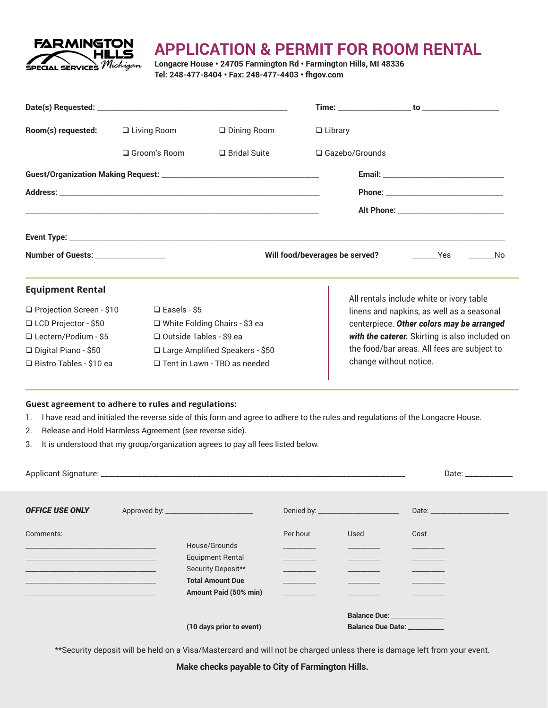

## **APPLICATION & PERMIT FOR ROOM RENTAL**

**Longacre House • 24705 Farmington Rd • Farmington Hills, MI 48336 Tel: 248-477-8404 • Fax: 248-477-4403 • fhgov.com**

| Room(s) requested:                                  | $\Box$ Living Room                  | $\square$ Dining Room             | $\Box$ Library                 |                                                                                       |  |  |  |
|-----------------------------------------------------|-------------------------------------|-----------------------------------|--------------------------------|---------------------------------------------------------------------------------------|--|--|--|
|                                                     | □ Groom's Room                      | $\Box$ Bridal Suite               | □ Gazebo/Grounds               |                                                                                       |  |  |  |
|                                                     |                                     |                                   |                                |                                                                                       |  |  |  |
|                                                     |                                     |                                   |                                |                                                                                       |  |  |  |
|                                                     |                                     |                                   |                                |                                                                                       |  |  |  |
|                                                     |                                     |                                   |                                |                                                                                       |  |  |  |
| Number of Guests: _________________                 |                                     |                                   | Will food/beverages be served? |                                                                                       |  |  |  |
| <b>Equipment Rental</b>                             |                                     |                                   |                                |                                                                                       |  |  |  |
| □ Projection Screen - \$10                          | $\Box$ Easels - \$5                 |                                   |                                | All rentals include white or ivory table<br>linens and napkins, as well as a seasonal |  |  |  |
| □ LCD Projector - \$50                              |                                     | □ White Folding Chairs - \$3 ea   |                                | centerpiece. Other colors may be arranged                                             |  |  |  |
| □ Lectern/Podium - \$5                              |                                     | □ Outside Tables - \$9 ea         |                                | with the caterer. Skirting is also included on                                        |  |  |  |
| $\Box$ Digital Piano - \$50                         |                                     | □ Large Amplified Speakers - \$50 |                                | the food/bar areas. All fees are subject to                                           |  |  |  |
| $\Box$ Bistro Tables - \$10 ea                      | $\Box$ Tent in Lawn - TBD as needed |                                   |                                | change without notice.                                                                |  |  |  |
| Guest agreement to adhere to rules and regulations: |                                     |                                   |                                |                                                                                       |  |  |  |

1. I have read and initialed the reverse side of this form and agree to adhere to the rules and regulations of the Longacre House.

- 2. Release and Hold Harmless Agreement (see reverse side).
- 3. It is understood that my group/organization agrees to pay all fees listed below.

|                        | Date: the contract of the contract of the contract of the contract of the contract of the contract of the contract of the contract of the contract of the contract of the contract of the contract of the contract of the cont |          |                               |                                 |
|------------------------|--------------------------------------------------------------------------------------------------------------------------------------------------------------------------------------------------------------------------------|----------|-------------------------------|---------------------------------|
|                        |                                                                                                                                                                                                                                |          |                               |                                 |
|                        |                                                                                                                                                                                                                                |          |                               |                                 |
| <b>OFFICE USE ONLY</b> |                                                                                                                                                                                                                                |          |                               | Date: _________________________ |
|                        |                                                                                                                                                                                                                                |          |                               |                                 |
| Comments:              |                                                                                                                                                                                                                                | Per hour | Used                          | Cost                            |
|                        | House/Grounds                                                                                                                                                                                                                  |          |                               |                                 |
|                        | <b>Equipment Rental</b>                                                                                                                                                                                                        |          |                               |                                 |
|                        | Security Deposit**                                                                                                                                                                                                             |          |                               |                                 |
|                        | <b>Total Amount Due</b>                                                                                                                                                                                                        |          |                               |                                 |
|                        | Amount Paid (50% min)                                                                                                                                                                                                          |          |                               |                                 |
|                        |                                                                                                                                                                                                                                |          | Balance Due: ________________ |                                 |
|                        | (10 days prior to event)                                                                                                                                                                                                       |          | <b>Balance Due Date:</b>      |                                 |
|                        |                                                                                                                                                                                                                                |          |                               |                                 |

\*\*Security deposit will be held on a Visa/Mastercard and will not be charged unless there is damage left from your event.

**Make checks payable to City of Farmington Hills.**